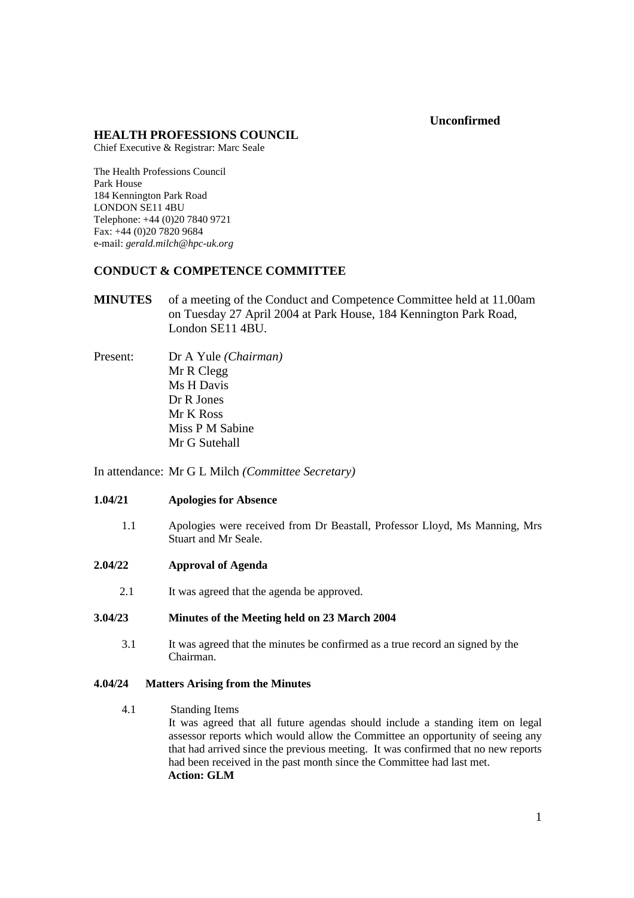### **Unconfirmed**

### **HEALTH PROFESSIONS COUNCIL**

Chief Executive & Registrar: Marc Seale

The Health Professions Council Park House 184 Kennington Park Road LONDON SE11 4BU Telephone: +44 (0)20 7840 9721 Fax: +44 (0)20 7820 9684 e-mail: *gerald.milch@hpc-uk.org*

# **CONDUCT & COMPETENCE COMMITTEE**

- **MINUTES** of a meeting of the Conduct and Competence Committee held at 11.00am on Tuesday 27 April 2004 at Park House, 184 Kennington Park Road, London SE11 4BU.
- Present: Dr A Yule *(Chairman)* Mr R Clegg Ms H Davis Dr R Jones Mr K Ross Miss P M Sabine Mr G Sutehall

In attendance: Mr G L Milch *(Committee Secretary)*

### **1.04/21 Apologies for Absence**

- 1.1 Apologies were received from Dr Beastall, Professor Lloyd, Ms Manning, Mrs Stuart and Mr Seale.
- **2.04/22 Approval of Agenda**
	- 2.1 It was agreed that the agenda be approved.

# **3.04/23 Minutes of the Meeting held on 23 March 2004**

3.1 It was agreed that the minutes be confirmed as a true record an signed by the Chairman.

### **4.04/24 Matters Arising from the Minutes**

4.1 Standing Items

It was agreed that all future agendas should include a standing item on legal assessor reports which would allow the Committee an opportunity of seeing any that had arrived since the previous meeting. It was confirmed that no new reports had been received in the past month since the Committee had last met.  **Action: GLM**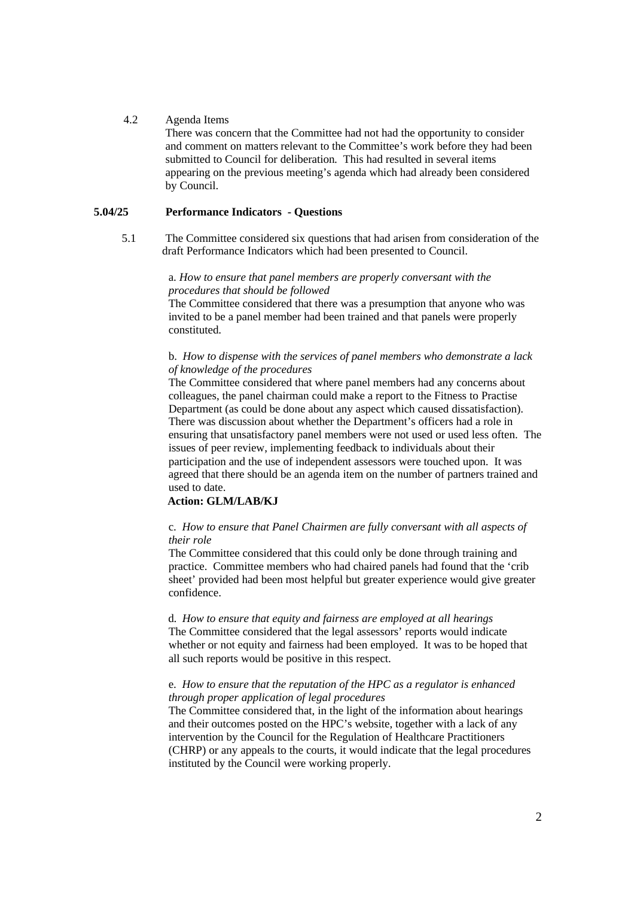### 4.2 Agenda Items

There was concern that the Committee had not had the opportunity to consider and comment on matters relevant to the Committee's work before they had been submitted to Council for deliberation. This had resulted in several items appearing on the previous meeting's agenda which had already been considered by Council.

### **5.04/25 Performance Indicators - Questions**

5.1 The Committee considered six questions that had arisen from consideration of the draft Performance Indicators which had been presented to Council.

### a. *How to ensure that panel members are properly conversant with the procedures that should be followed*

The Committee considered that there was a presumption that anyone who was invited to be a panel member had been trained and that panels were properly constituted.

### b. *How to dispense with the services of panel members who demonstrate a lack of knowledge of the procedures*

The Committee considered that where panel members had any concerns about colleagues, the panel chairman could make a report to the Fitness to Practise Department (as could be done about any aspect which caused dissatisfaction). There was discussion about whether the Department's officers had a role in ensuring that unsatisfactory panel members were not used or used less often. The issues of peer review, implementing feedback to individuals about their participation and the use of independent assessors were touched upon. It was agreed that there should be an agenda item on the number of partners trained and used to date.

# **Action: GLM/LAB/KJ**

### c. *How to ensure that Panel Chairmen are fully conversant with all aspects of their role*

The Committee considered that this could only be done through training and practice. Committee members who had chaired panels had found that the 'crib sheet' provided had been most helpful but greater experience would give greater confidence.

 d. *How to ensure that equity and fairness are employed at all hearings* The Committee considered that the legal assessors' reports would indicate whether or not equity and fairness had been employed. It was to be hoped that all such reports would be positive in this respect.

### e. *How to ensure that the reputation of the HPC as a regulator is enhanced through proper application of legal procedures*

The Committee considered that, in the light of the information about hearings and their outcomes posted on the HPC's website, together with a lack of any intervention by the Council for the Regulation of Healthcare Practitioners (CHRP) or any appeals to the courts, it would indicate that the legal procedures instituted by the Council were working properly.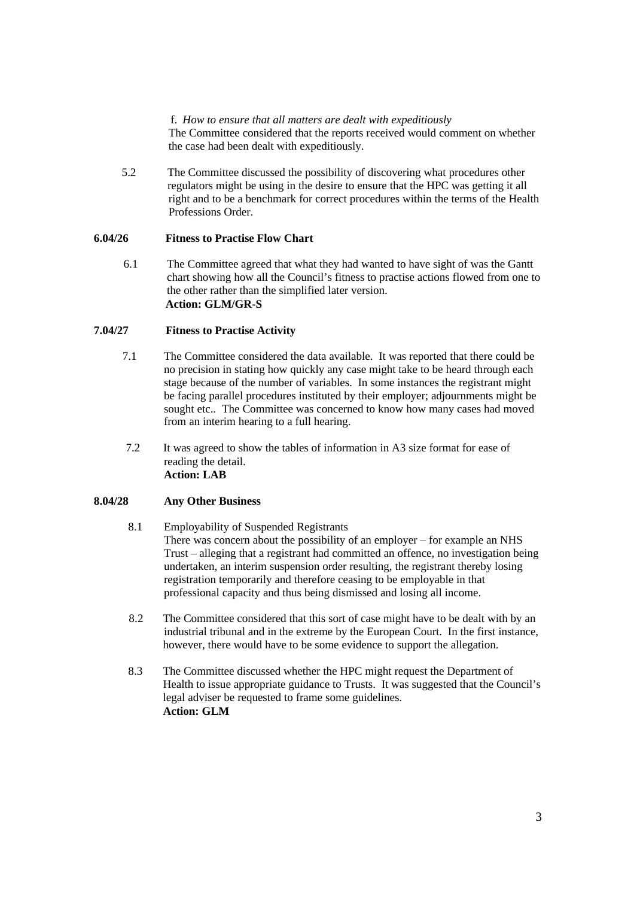### f. *How to ensure that all matters are dealt with expeditiously*

The Committee considered that the reports received would comment on whether the case had been dealt with expeditiously.

5.2 The Committee discussed the possibility of discovering what procedures other regulators might be using in the desire to ensure that the HPC was getting it all right and to be a benchmark for correct procedures within the terms of the Health Professions Order.

# **6.04/26 Fitness to Practise Flow Chart**

6.1 The Committee agreed that what they had wanted to have sight of was the Gantt chart showing how all the Council's fitness to practise actions flowed from one to the other rather than the simplified later version.  **Action: GLM/GR-S**

# **7.04/27 Fitness to Practise Activity**

- 7.1 The Committee considered the data available. It was reported that there could be no precision in stating how quickly any case might take to be heard through each stage because of the number of variables. In some instances the registrant might be facing parallel procedures instituted by their employer; adjournments might be sought etc.. The Committee was concerned to know how many cases had moved from an interim hearing to a full hearing.
- 7.2 It was agreed to show the tables of information in A3 size format for ease of reading the detail. **Action: LAB**

# **8.04/28 Any Other Business**

### 8.1 Employability of Suspended Registrants There was concern about the possibility of an employer – for example an NHS Trust – alleging that a registrant had committed an offence, no investigation being undertaken, an interim suspension order resulting, the registrant thereby losing registration temporarily and therefore ceasing to be employable in that professional capacity and thus being dismissed and losing all income.

- 8.2 The Committee considered that this sort of case might have to be dealt with by an industrial tribunal and in the extreme by the European Court. In the first instance, however, there would have to be some evidence to support the allegation.
- 8.3 The Committee discussed whether the HPC might request the Department of Health to issue appropriate guidance to Trusts. It was suggested that the Council's legal adviser be requested to frame some guidelines. **Action: GLM**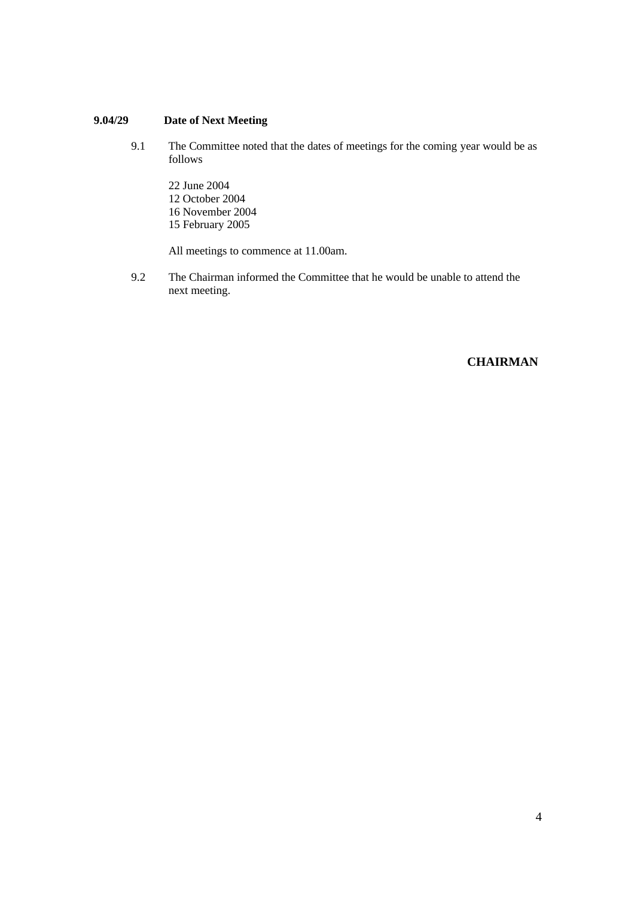# **9.04/29 Date of Next Meeting**

- 9.1 The Committee noted that the dates of meetings for the coming year would be as follows
	- 22 June 2004 12 October 2004 16 November 2004 15 February 2005

All meetings to commence at 11.00am.

9.2 The Chairman informed the Committee that he would be unable to attend the next meeting.

# **CHAIRMAN**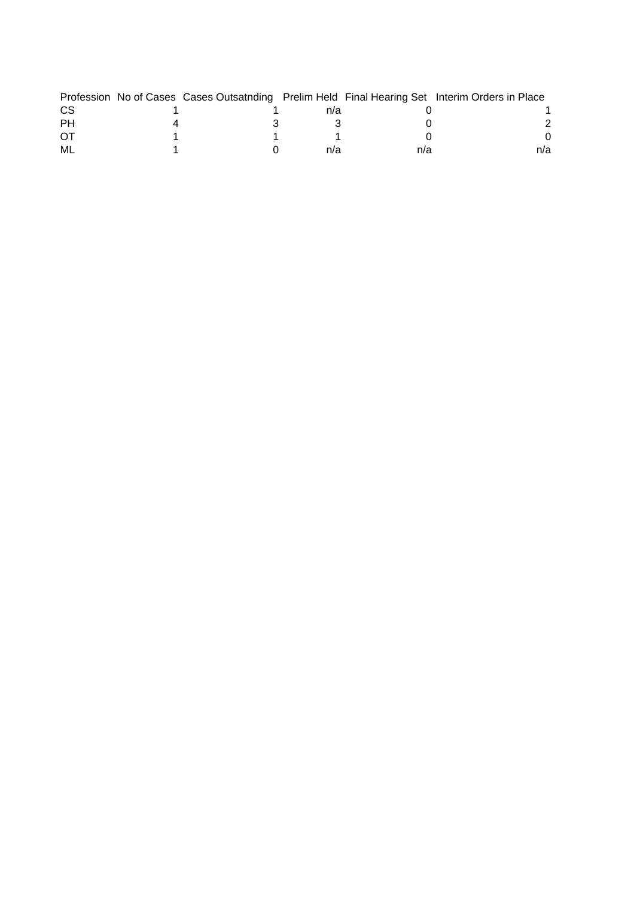|     |  |     |     | Profession No of Cases Cases Outsatnding Prelim Held Final Hearing Set Interim Orders in Place |
|-----|--|-----|-----|------------------------------------------------------------------------------------------------|
| CS. |  | n/a |     |                                                                                                |
| PH  |  |     |     |                                                                                                |
| ЮĪ  |  |     |     |                                                                                                |
| ML  |  | n/a | n/a | n/a                                                                                            |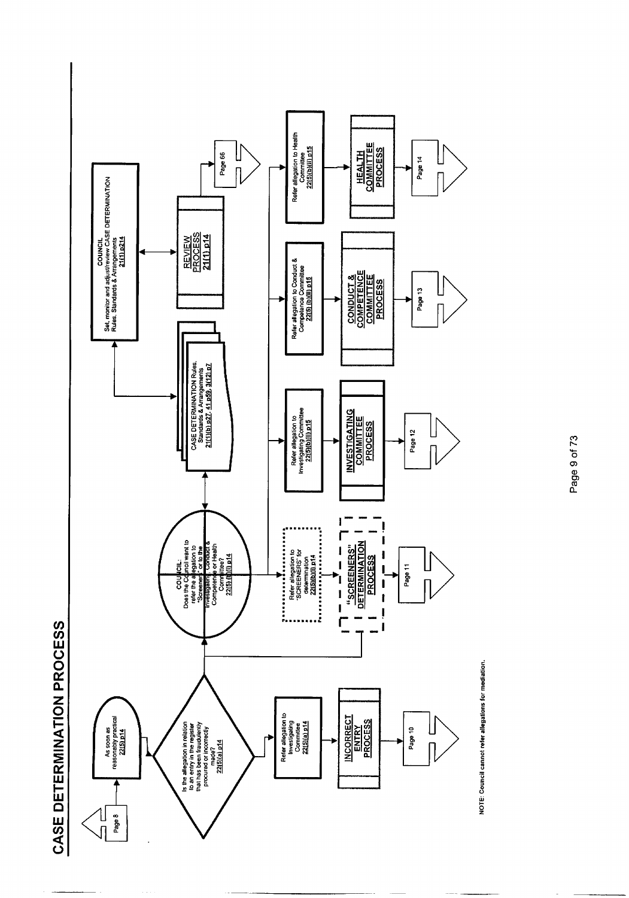



NOTE: Council cannot refer allegations for mediation.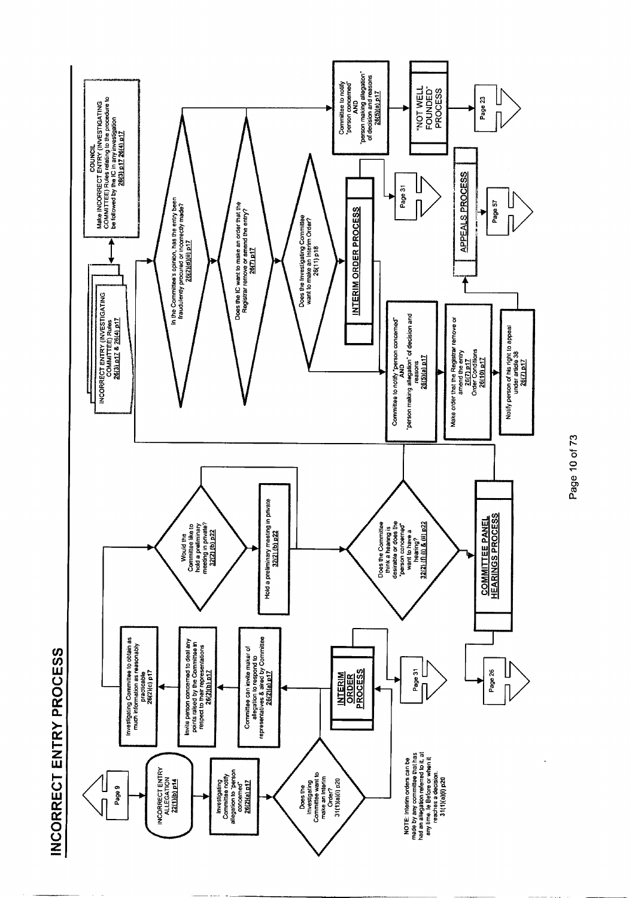



Page 10 of 73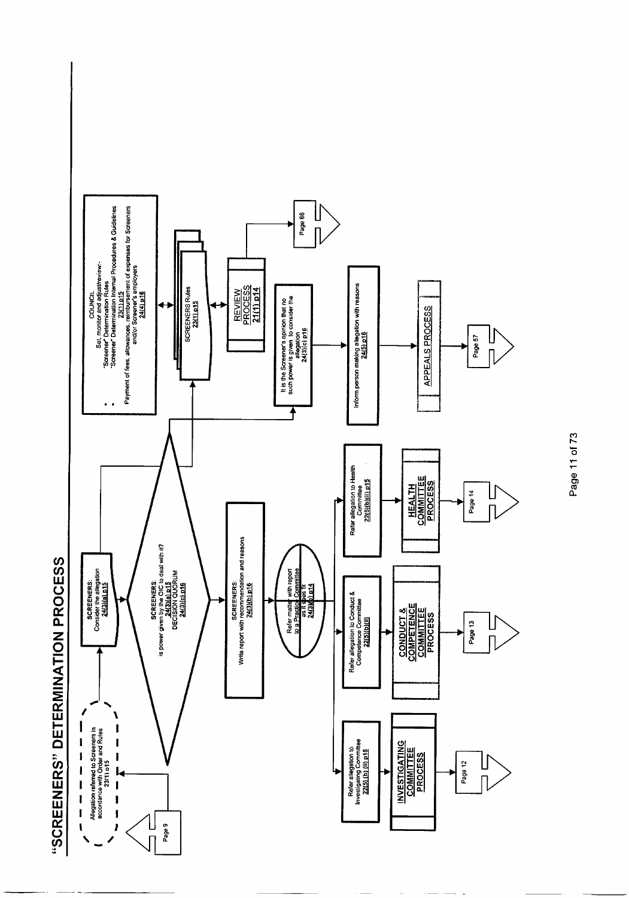



Page 11 of 73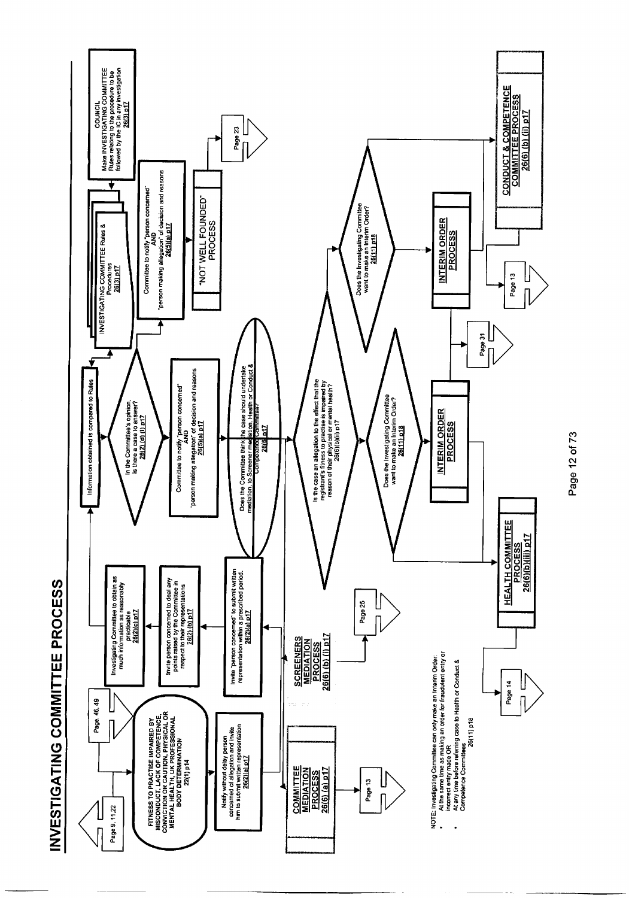

Page 12 of 73